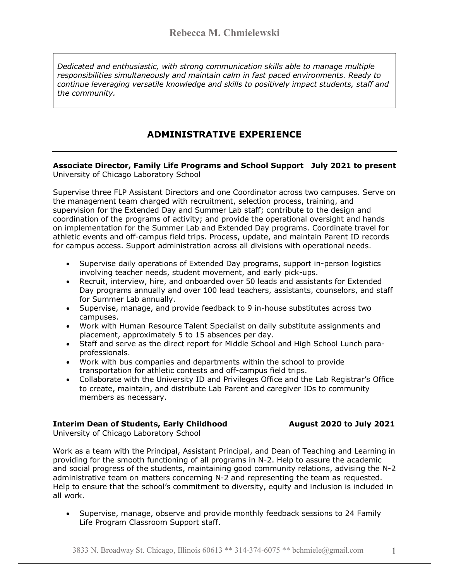*Dedicated and enthusiastic, with strong communication skills able to manage multiple responsibilities simultaneously and maintain calm in fast paced environments. Ready to continue leveraging versatile knowledge and skills to positively impact students, staff and the community.*

# **ADMINISTRATIVE EXPERIENCE**

### **Associate Director, Family Life Programs and School Support July 2021 to present** University of Chicago Laboratory School

Supervise three FLP Assistant Directors and one Coordinator across two campuses. Serve on the management team charged with recruitment, selection process, training, and supervision for the Extended Day and Summer Lab staff; contribute to the design and coordination of the programs of activity; and provide the operational oversight and hands on implementation for the Summer Lab and Extended Day programs. Coordinate travel for athletic events and off-campus field trips. Process, update, and maintain Parent ID records for campus access. Support administration across all divisions with operational needs.

- Supervise daily operations of Extended Day programs, support in-person logistics involving teacher needs, student movement, and early pick-ups.
- Recruit, interview, hire, and onboarded over 50 leads and assistants for Extended Day programs annually and over 100 lead teachers, assistants, counselors, and staff for Summer Lab annually.
- Supervise, manage, and provide feedback to 9 in-house substitutes across two campuses.
- Work with Human Resource Talent Specialist on daily substitute assignments and placement, approximately 5 to 15 absences per day.
- Staff and serve as the direct report for Middle School and High School Lunch paraprofessionals.
- Work with bus companies and departments within the school to provide transportation for athletic contests and off-campus field trips.
- Collaborate with the University ID and Privileges Office and the Lab Registrar's Office to create, maintain, and distribute Lab Parent and caregiver IDs to community members as necessary.

### **Interim Dean of Students, Early Childhood August 2020 to July 2021**

University of Chicago Laboratory School

Work as a team with the Principal, Assistant Principal, and Dean of Teaching and Learning in providing for the smooth functioning of all programs in N-2. Help to assure the academic and social progress of the students, maintaining good community relations, advising the N-2 administrative team on matters concerning N-2 and representing the team as requested. Help to ensure that the school's commitment to diversity, equity and inclusion is included in all work.

• Supervise, manage, observe and provide monthly feedback sessions to 24 Family Life Program Classroom Support staff.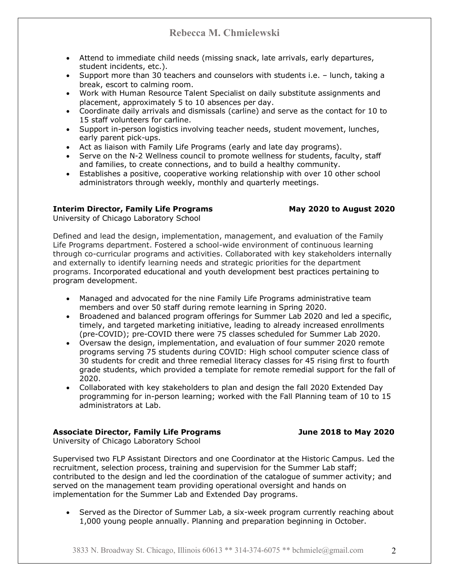- Attend to immediate child needs (missing snack, late arrivals, early departures, student incidents, etc.).
- Support more than 30 teachers and counselors with students i.e. lunch, taking a break, escort to calming room.
- Work with Human Resource Talent Specialist on daily substitute assignments and placement, approximately 5 to 10 absences per day.
- Coordinate daily arrivals and dismissals (carline) and serve as the contact for 10 to 15 staff volunteers for carline.
- Support in-person logistics involving teacher needs, student movement, lunches, early parent pick-ups.
- Act as liaison with Family Life Programs (early and late day programs).
- Serve on the N-2 Wellness council to promote wellness for students, faculty, staff and families, to create connections, and to build a healthy community.
- Establishes a positive, cooperative working relationship with over 10 other school administrators through weekly, monthly and quarterly meetings.

### **Interim Director, Family Life Programs May 2020 to August 2020**

University of Chicago Laboratory School

Defined and lead the design, implementation, management, and evaluation of the Family Life Programs department. Fostered a school-wide environment of continuous learning through co-curricular programs and activities. Collaborated with key stakeholders internally and externally to identify learning needs and strategic priorities for the department programs. Incorporated educational and youth development best practices pertaining to program development.

- Managed and advocated for the nine Family Life Programs administrative team members and over 50 staff during remote learning in Spring 2020.
- Broadened and balanced program offerings for Summer Lab 2020 and led a specific, timely, and targeted marketing initiative, leading to already increased enrollments (pre-COVID); pre-COVID there were 75 classes scheduled for Summer Lab 2020.
- Oversaw the design, implementation, and evaluation of four summer 2020 remote programs serving 75 students during COVID: High school computer science class of 30 students for credit and three remedial literacy classes for 45 rising first to fourth grade students, which provided a template for remote remedial support for the fall of 2020.
- Collaborated with key stakeholders to plan and design the fall 2020 Extended Day programming for in-person learning; worked with the Fall Planning team of 10 to 15 administrators at Lab.

### **Associate Director, Family Life Programs June 2018 to May 2020**

University of Chicago Laboratory School

Supervised two FLP Assistant Directors and one Coordinator at the Historic Campus. Led the recruitment, selection process, training and supervision for the Summer Lab staff; contributed to the design and led the coordination of the catalogue of summer activity; and served on the management team providing operational oversight and hands on implementation for the Summer Lab and Extended Day programs.

• Served as the Director of Summer Lab, a six-week program currently reaching about 1,000 young people annually. Planning and preparation beginning in October.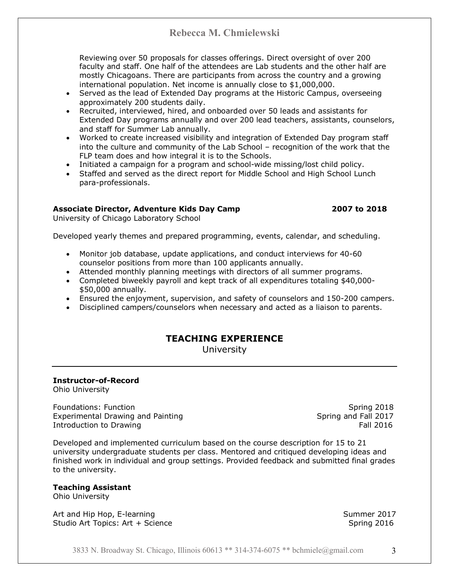Reviewing over 50 proposals for classes offerings. Direct oversight of over 200 faculty and staff. One half of the attendees are Lab students and the other half are mostly Chicagoans. There are participants from across the country and a growing international population. Net income is annually close to \$1,000,000.

- Served as the lead of Extended Day programs at the Historic Campus, overseeing approximately 200 students daily.
- Recruited, interviewed, hired, and onboarded over 50 leads and assistants for Extended Day programs annually and over 200 lead teachers, assistants, counselors, and staff for Summer Lab annually.
- Worked to create increased visibility and integration of Extended Day program staff into the culture and community of the Lab School – recognition of the work that the FLP team does and how integral it is to the Schools.
- Initiated a campaign for a program and school-wide missing/lost child policy.
- Staffed and served as the direct report for Middle School and High School Lunch para-professionals.

### **Associate Director, Adventure Kids Day Camp 2007 to 2018**

University of Chicago Laboratory School

Developed yearly themes and prepared programming, events, calendar, and scheduling.

- Monitor job database, update applications, and conduct interviews for 40-60 counselor positions from more than 100 applicants annually.
- Attended monthly planning meetings with directors of all summer programs.
- Completed biweekly payroll and kept track of all expenditures totaling \$40,000- \$50,000 annually.
- Ensured the enjoyment, supervision, and safety of counselors and 150-200 campers.
- Disciplined campers/counselors when necessary and acted as a liaison to parents.

# **TEACHING EXPERIENCE**

University

## **Instructor-of-Record**

Ohio University

Foundations: Function Spring 2018 Experimental Drawing and Painting Spring Spring and Fall 2017 Introduction to Drawing The Contract of the Contract of the Contract of the Contract of the Contract of the Contract of the Contract of the Contract of the Contract of the Contract of the Contract of the Contract of the Co

Developed and implemented curriculum based on the course description for 15 to 21 university undergraduate students per class. Mentored and critiqued developing ideas and finished work in individual and group settings. Provided feedback and submitted final grades to the university.

### **Teaching Assistant**

Ohio University

Art and Hip Hop, E-learning Summer 2017 Studio Art Topics: Art + Science Spring 2016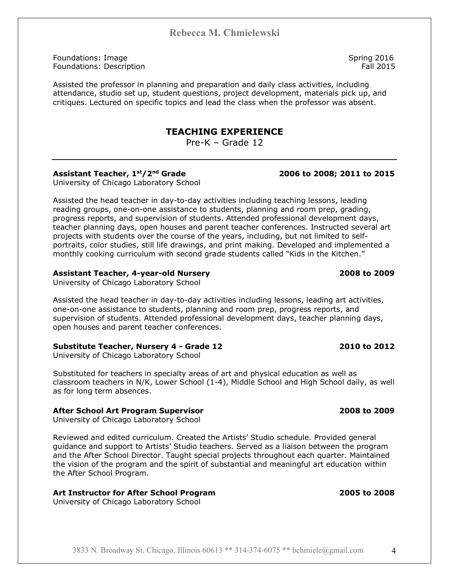Foundations: Image Spring 2016 **Foundations: Description Fall 2015** 

Assisted the professor in planning and preparation and daily class activities, including attendance, studio set up, student questions, project development, materials pick up, and critiques. Lectured on specific topics and lead the class when the professor was absent.

## **TEACHING EXPERIENCE**

Pre-K – Grade 12

### **Assistant Teacher, 1st/2nd Grade 2006 to 2008; 2011 to 2015**

University of Chicago Laboratory School

Assisted the head teacher in day-to-day activities including teaching lessons, leading reading groups, one-on-one assistance to students, planning and room prep, grading, progress reports, and supervision of students. Attended professional development days, teacher planning days, open houses and parent teacher conferences. Instructed several art projects with students over the course of the years, including, but not limited to selfportraits, color studies, still life drawings, and print making. Developed and implemented a monthly cooking curriculum with second grade students called "Kids in the Kitchen."

### **Assistant Teacher, 4-year-old Nursery 2008 to 2009**

University of Chicago Laboratory School

Assisted the head teacher in day-to-day activities including lessons, leading art activities, one-on-one assistance to students, planning and room prep, progress reports, and supervision of students. Attended professional development days, teacher planning days, open houses and parent teacher conferences.

### **Substitute Teacher, Nursery 4 - Grade 12 2010 to 2012**

University of Chicago Laboratory School

Substituted for teachers in specialty areas of art and physical education as well as classroom teachers in N/K, Lower School (1-4), Middle School and High School daily, as well as for long term absences.

### **After School Art Program Supervisor 2008 to 2009**

University of Chicago Laboratory School

Reviewed and edited curriculum. Created the Artists' Studio schedule. Provided general guidance and support to Artists' Studio teachers. Served as a liaison between the program and the After School Director. Taught special projects throughout each quarter. Maintained the vision of the program and the spirit of substantial and meaningful art education within the After School Program.

### **Art Instructor for After School Program 2005 to 2008**

University of Chicago Laboratory School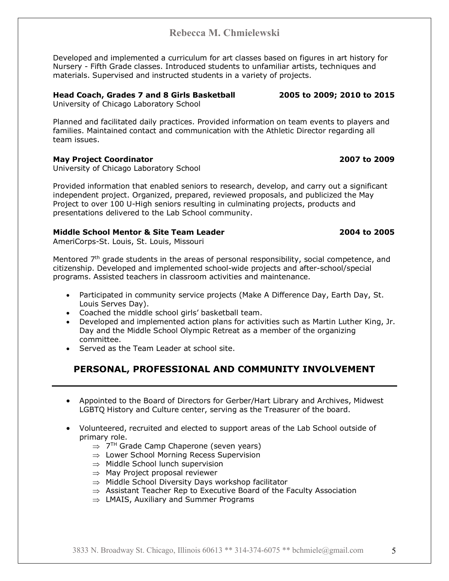Developed and implemented a curriculum for art classes based on figures in art history for Nursery - Fifth Grade classes. Introduced students to unfamiliar artists, techniques and materials. Supervised and instructed students in a variety of projects.

### **Head Coach, Grades 7 and 8 Girls Basketball 2005 to 2009; 2010 to 2015**

University of Chicago Laboratory School

Planned and facilitated daily practices. Provided information on team events to players and families. Maintained contact and communication with the Athletic Director regarding all team issues.

### **May Project Coordinator 2007 to 2009**

University of Chicago Laboratory School

Provided information that enabled seniors to research, develop, and carry out a significant independent project. Organized, prepared, reviewed proposals, and publicized the May Project to over 100 U-High seniors resulting in culminating projects, products and presentations delivered to the Lab School community.

### **Middle School Mentor & Site Team Leader 2004 to 2005**

AmeriCorps-St. Louis, St. Louis, Missouri

Mentored  $7<sup>th</sup>$  grade students in the areas of personal responsibility, social competence, and citizenship. Developed and implemented school-wide projects and after-school/special programs. Assisted teachers in classroom activities and maintenance.

- Participated in community service projects (Make A Difference Day, Earth Day, St. Louis Serves Day).
- Coached the middle school girls' basketball team.
- Developed and implemented action plans for activities such as Martin Luther King, Jr. Day and the Middle School Olympic Retreat as a member of the organizing committee.
- Served as the Team Leader at school site.

# **PERSONAL, PROFESSIONAL AND COMMUNITY INVOLVEMENT**

- Appointed to the Board of Directors for Gerber/Hart Library and Archives, Midwest LGBTQ History and Culture center, serving as the Treasurer of the board.
- Volunteered, recruited and elected to support areas of the Lab School outside of primary role.
	- $\Rightarrow$  7<sup>TH</sup> Grade Camp Chaperone (seven years)
	- $\Rightarrow$  Lower School Morning Recess Supervision
	- $\Rightarrow$  Middle School lunch supervision
	- $\Rightarrow$  May Project proposal reviewer
	- $\Rightarrow$  Middle School Diversity Days workshop facilitator
	- $\Rightarrow$  Assistant Teacher Rep to Executive Board of the Faculty Association
	- $\Rightarrow$  LMAIS, Auxiliary and Summer Programs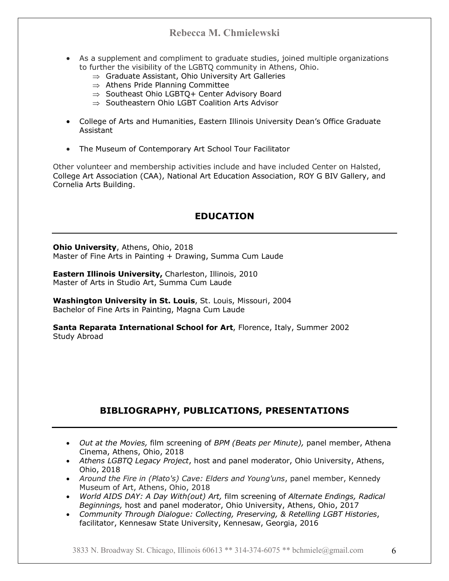- As a supplement and compliment to graduate studies, joined multiple organizations to further the visibility of the LGBTQ community in Athens, Ohio.
	- $\Rightarrow$  Graduate Assistant, Ohio University Art Galleries
	- $\Rightarrow$  Athens Pride Planning Committee
	- $\Rightarrow$  Southeast Ohio LGBTQ+ Center Advisory Board
	- $\Rightarrow$  Southeastern Ohio LGBT Coalition Arts Advisor
- College of Arts and Humanities, Eastern Illinois University Dean's Office Graduate Assistant
- The Museum of Contemporary Art School Tour Facilitator

Other volunteer and membership activities include and have included Center on Halsted, College Art Association (CAA), National Art Education Association, ROY G BIV Gallery, and Cornelia Arts Building.

## **EDUCATION**

**Ohio University**, Athens, Ohio, 2018 Master of Fine Arts in Painting + Drawing, Summa Cum Laude

**Eastern Illinois University,** Charleston, Illinois, 2010 Master of Arts in Studio Art, Summa Cum Laude

**Washington University in St. Louis**, St. Louis, Missouri, 2004 Bachelor of Fine Arts in Painting, Magna Cum Laude

**Santa Reparata International School for Art**, Florence, Italy, Summer 2002 Study Abroad

# **BIBLIOGRAPHY, PUBLICATIONS, PRESENTATIONS**

- *Out at the Movies,* film screening of *BPM (Beats per Minute),* panel member, Athena Cinema, Athens, Ohio, 2018
- *Athens LGBTQ Legacy Project*, host and panel moderator, Ohio University, Athens, Ohio, 2018
- *Around the Fire in (Plato's) Cave: Elders and Young'uns*, panel member, Kennedy Museum of Art, Athens, Ohio, 2018
- *World AIDS DAY: A Day With(out) Art,* film screening of *Alternate Endings, Radical Beginnings,* host and panel moderator, Ohio University, Athens, Ohio, 2017
- *Community Through Dialogue: Collecting, Preserving, & Retelling LGBT Histories*, facilitator, Kennesaw State University, Kennesaw, Georgia, 2016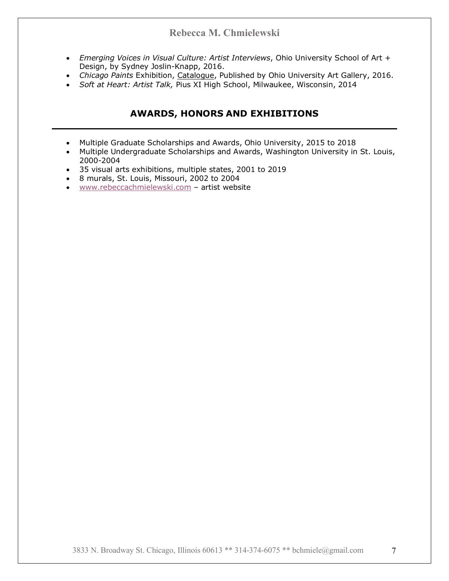- *Emerging Voices in Visual Culture: Artist Interviews*, Ohio University School of Art + Design, by Sydney Joslin-Knapp, 2016.
- *Chicago Paints* Exhibition, Catalogue, Published by Ohio University Art Gallery, 2016.
- *Soft at Heart: Artist Talk,* Pius XI High School, Milwaukee, Wisconsin, 2014

## **AWARDS, HONORS AND EXHIBITIONS**

- Multiple Graduate Scholarships and Awards, Ohio University, 2015 to 2018
- Multiple Undergraduate Scholarships and Awards, Washington University in St. Louis, 2000-2004
- 35 visual arts exhibitions, multiple states, 2001 to 2019
- 8 murals, St. Louis, Missouri, 2002 to 2004
- www.rebeccachmielewski.com artist website